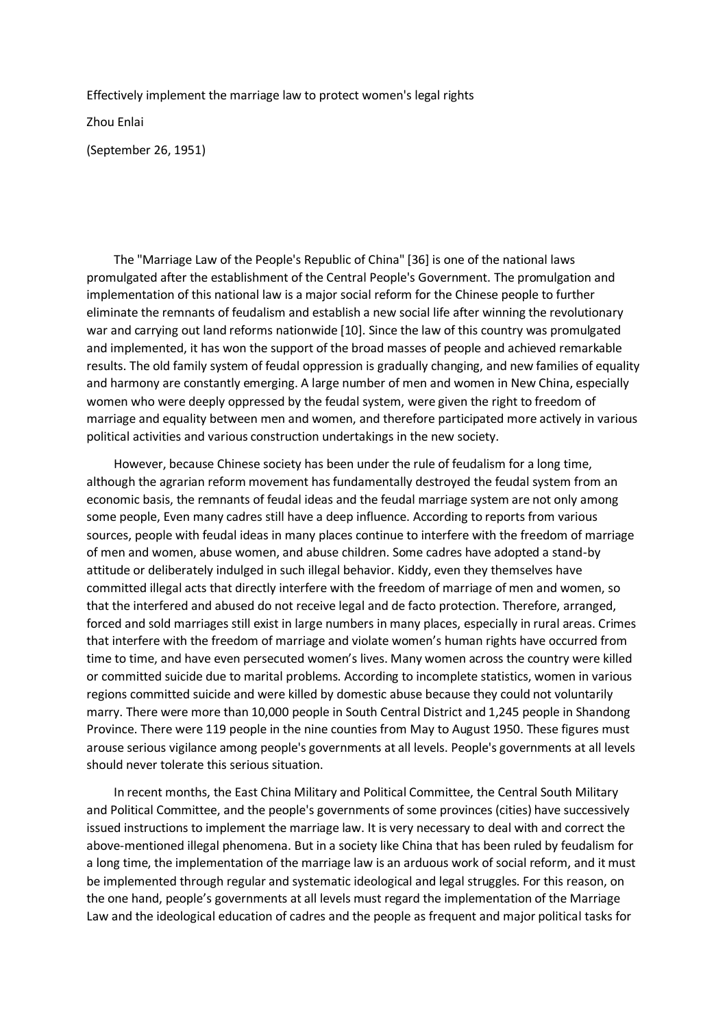Effectively implement the marriage law to protect women's legal rights

Zhou Enlai

(September 26, 1951)

 The "Marriage Law of the People's Republic of China" [36] is one of the national laws promulgated after the establishment of the Central People's Government. The promulgation and implementation of this national law is a major social reform for the Chinese people to further eliminate the remnants of feudalism and establish a new social life after winning the revolutionary war and carrying out land reforms nationwide [10]. Since the law of this country was promulgated and implemented, it has won the support of the broad masses of people and achieved remarkable results. The old family system of feudal oppression is gradually changing, and new families of equality and harmony are constantly emerging. A large number of men and women in New China, especially women who were deeply oppressed by the feudal system, were given the right to freedom of marriage and equality between men and women, and therefore participated more actively in various political activities and various construction undertakings in the new society.

 However, because Chinese society has been under the rule of feudalism for a long time, although the agrarian reform movement has fundamentally destroyed the feudal system from an economic basis, the remnants of feudal ideas and the feudal marriage system are not only among some people, Even many cadres still have a deep influence. According to reports from various sources, people with feudal ideas in many places continue to interfere with the freedom of marriage of men and women, abuse women, and abuse children. Some cadres have adopted a stand-by attitude or deliberately indulged in such illegal behavior. Kiddy, even they themselves have committed illegal acts that directly interfere with the freedom of marriage of men and women, so that the interfered and abused do not receive legal and de facto protection. Therefore, arranged, forced and sold marriages still exist in large numbers in many places, especially in rural areas. Crimes that interfere with the freedom of marriage and violate women's human rights have occurred from time to time, and have even persecuted women's lives. Many women across the country were killed or committed suicide due to marital problems. According to incomplete statistics, women in various regions committed suicide and were killed by domestic abuse because they could not voluntarily marry. There were more than 10,000 people in South Central District and 1,245 people in Shandong Province. There were 119 people in the nine counties from May to August 1950. These figures must arouse serious vigilance among people's governments at all levels. People's governments at all levels should never tolerate this serious situation.

 In recent months, the East China Military and Political Committee, the Central South Military and Political Committee, and the people's governments of some provinces (cities) have successively issued instructions to implement the marriage law. It is very necessary to deal with and correct the above-mentioned illegal phenomena. But in a society like China that has been ruled by feudalism for a long time, the implementation of the marriage law is an arduous work of social reform, and it must be implemented through regular and systematic ideological and legal struggles. For this reason, on the one hand, people's governments at all levels must regard the implementation of the Marriage Law and the ideological education of cadres and the people as frequent and major political tasks for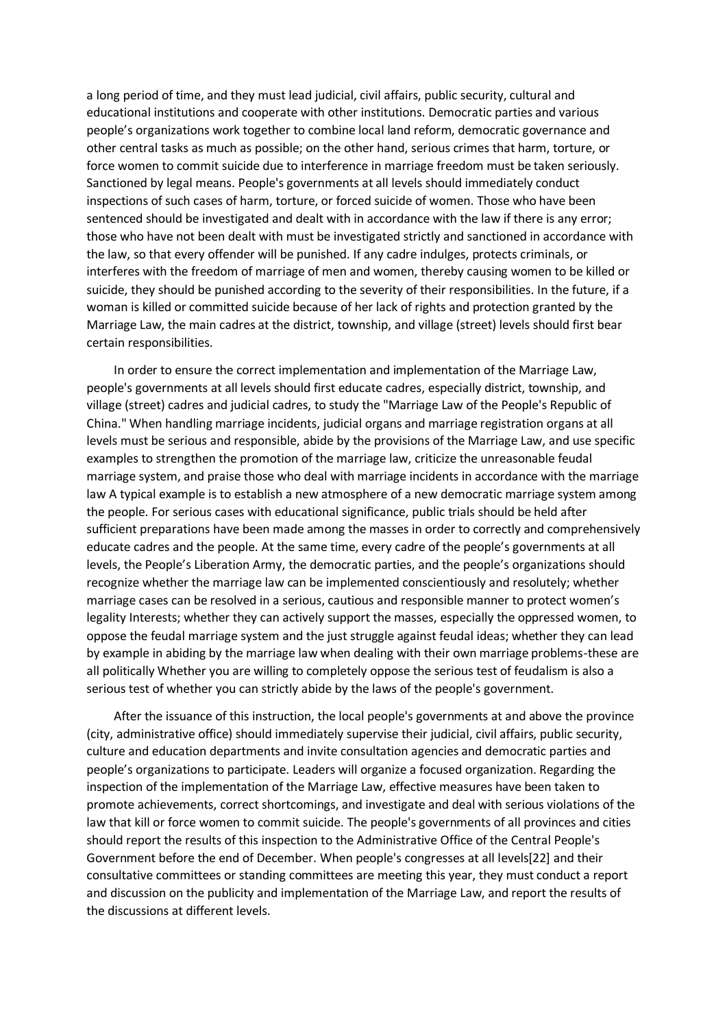a long period of time, and they must lead judicial, civil affairs, public security, cultural and educational institutions and cooperate with other institutions. Democratic parties and various people's organizations work together to combine local land reform, democratic governance and other central tasks as much as possible; on the other hand, serious crimes that harm, torture, or force women to commit suicide due to interference in marriage freedom must be taken seriously. Sanctioned by legal means. People's governments at all levels should immediately conduct inspections of such cases of harm, torture, or forced suicide of women. Those who have been sentenced should be investigated and dealt with in accordance with the law if there is any error; those who have not been dealt with must be investigated strictly and sanctioned in accordance with the law, so that every offender will be punished. If any cadre indulges, protects criminals, or interferes with the freedom of marriage of men and women, thereby causing women to be killed or suicide, they should be punished according to the severity of their responsibilities. In the future, if a woman is killed or committed suicide because of her lack of rights and protection granted by the Marriage Law, the main cadres at the district, township, and village (street) levels should first bear certain responsibilities.

 In order to ensure the correct implementation and implementation of the Marriage Law, people's governments at all levels should first educate cadres, especially district, township, and village (street) cadres and judicial cadres, to study the "Marriage Law of the People's Republic of China." When handling marriage incidents, judicial organs and marriage registration organs at all levels must be serious and responsible, abide by the provisions of the Marriage Law, and use specific examples to strengthen the promotion of the marriage law, criticize the unreasonable feudal marriage system, and praise those who deal with marriage incidents in accordance with the marriage law A typical example is to establish a new atmosphere of a new democratic marriage system among the people. For serious cases with educational significance, public trials should be held after sufficient preparations have been made among the masses in order to correctly and comprehensively educate cadres and the people. At the same time, every cadre of the people's governments at all levels, the People's Liberation Army, the democratic parties, and the people's organizations should recognize whether the marriage law can be implemented conscientiously and resolutely; whether marriage cases can be resolved in a serious, cautious and responsible manner to protect women's legality Interests; whether they can actively support the masses, especially the oppressed women, to oppose the feudal marriage system and the just struggle against feudal ideas; whether they can lead by example in abiding by the marriage law when dealing with their own marriage problems-these are all politically Whether you are willing to completely oppose the serious test of feudalism is also a serious test of whether you can strictly abide by the laws of the people's government.

 After the issuance of this instruction, the local people's governments at and above the province (city, administrative office) should immediately supervise their judicial, civil affairs, public security, culture and education departments and invite consultation agencies and democratic parties and people's organizations to participate. Leaders will organize a focused organization. Regarding the inspection of the implementation of the Marriage Law, effective measures have been taken to promote achievements, correct shortcomings, and investigate and deal with serious violations of the law that kill or force women to commit suicide. The people's governments of all provinces and cities should report the results of this inspection to the Administrative Office of the Central People's Government before the end of December. When people's congresses at all levels[22] and their consultative committees or standing committees are meeting this year, they must conduct a report and discussion on the publicity and implementation of the Marriage Law, and report the results of the discussions at different levels.